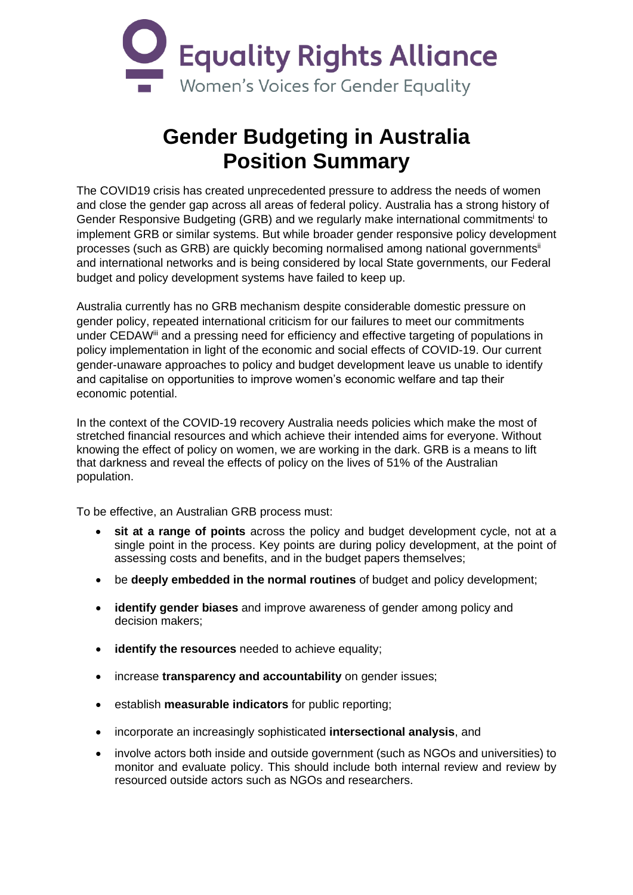

## **Gender Budgeting in Australia Position Summary**

The COVID19 crisis has created unprecedented pressure to address the needs of women and close the gender gap across all areas of federal policy. Australia has a strong history of Gender Responsive Budgeting (GRB) and we regularly make international commitments<sup>i</sup> to implement GRB or similar systems. But while broader gender responsive policy development processes (such as GRB) are quickly becoming normalised among national governments<sup>ii</sup> and international networks and is being considered by local State governments, our Federal budget and policy development systems have failed to keep up.

Australia currently has no GRB mechanism despite considerable domestic pressure on gender policy, repeated international criticism for our failures to meet our commitments under CEDAWiii and a pressing need for efficiency and effective targeting of populations in policy implementation in light of the economic and social effects of COVID-19. Our current gender-unaware approaches to policy and budget development leave us unable to identify and capitalise on opportunities to improve women's economic welfare and tap their economic potential.

In the context of the COVID-19 recovery Australia needs policies which make the most of stretched financial resources and which achieve their intended aims for everyone. Without knowing the effect of policy on women, we are working in the dark. GRB is a means to lift that darkness and reveal the effects of policy on the lives of 51% of the Australian population.

To be effective, an Australian GRB process must:

- **sit at a range of points** across the policy and budget development cycle, not at a single point in the process. Key points are during policy development, at the point of assessing costs and benefits, and in the budget papers themselves;
- be **deeply embedded in the normal routines** of budget and policy development;
- **identify gender biases** and improve awareness of gender among policy and decision makers;
- **identify the resources** needed to achieve equality;
- increase **transparency and accountability** on gender issues;
- establish **measurable indicators** for public reporting;
- incorporate an increasingly sophisticated **intersectional analysis**, and
- involve actors both inside and outside government (such as NGOs and universities) to monitor and evaluate policy. This should include both internal review and review by resourced outside actors such as NGOs and researchers.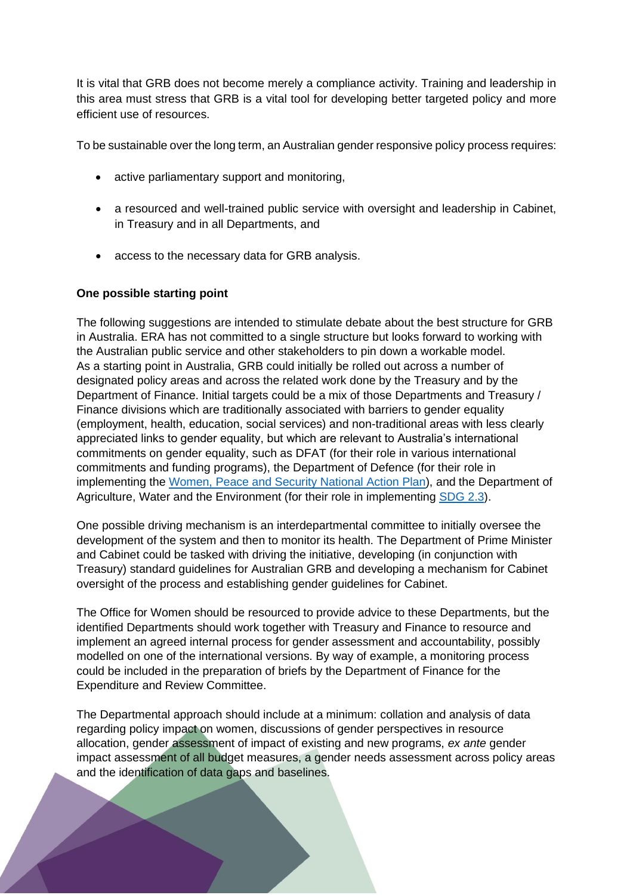It is vital that GRB does not become merely a compliance activity. Training and leadership in this area must stress that GRB is a vital tool for developing better targeted policy and more efficient use of resources.

To be sustainable over the long term, an Australian gender responsive policy process requires:

- active parliamentary support and monitoring,
- a resourced and well-trained public service with oversight and leadership in Cabinet, in Treasury and in all Departments, and
- access to the necessary data for GRB analysis.

## **One possible starting point**

The following suggestions are intended to stimulate debate about the best structure for GRB in Australia. ERA has not committed to a single structure but looks forward to working with the Australian public service and other stakeholders to pin down a workable model. As a starting point in Australia, GRB could initially be rolled out across a number of designated policy areas and across the related work done by the Treasury and by the Department of Finance. Initial targets could be a mix of those Departments and Treasury / Finance divisions which are traditionally associated with barriers to gender equality (employment, health, education, social services) and non-traditional areas with less clearly appreciated links to gender equality, but which are relevant to Australia's international commitments on gender equality, such as DFAT (for their role in various international commitments and funding programs), the Department of Defence (for their role in implementing the [Women, Peace and Security National Action Plan\)](https://www.pmc.gov.au/sites/default/files/publications/national-action-plan_on_women%20peace-security-%202012-18.pdf), and the Department of Agriculture, Water and the Environment (for their role in implementing [SDG 2.3\)](https://sustainabledevelopment.un.org/sdg2).

One possible driving mechanism is an interdepartmental committee to initially oversee the development of the system and then to monitor its health. The Department of Prime Minister and Cabinet could be tasked with driving the initiative, developing (in conjunction with Treasury) standard guidelines for Australian GRB and developing a mechanism for Cabinet oversight of the process and establishing gender guidelines for Cabinet.

The Office for Women should be resourced to provide advice to these Departments, but the identified Departments should work together with Treasury and Finance to resource and implement an agreed internal process for gender assessment and accountability, possibly modelled on one of the international versions. By way of example, a monitoring process could be included in the preparation of briefs by the Department of Finance for the Expenditure and Review Committee.

The Departmental approach should include at a minimum: collation and analysis of data regarding policy impact on women, discussions of gender perspectives in resource allocation, gender assessment of impact of existing and new programs, *ex ante* gender impact assessment of all budget measures, a gender needs assessment across policy areas and the identification of data gaps and baselines.